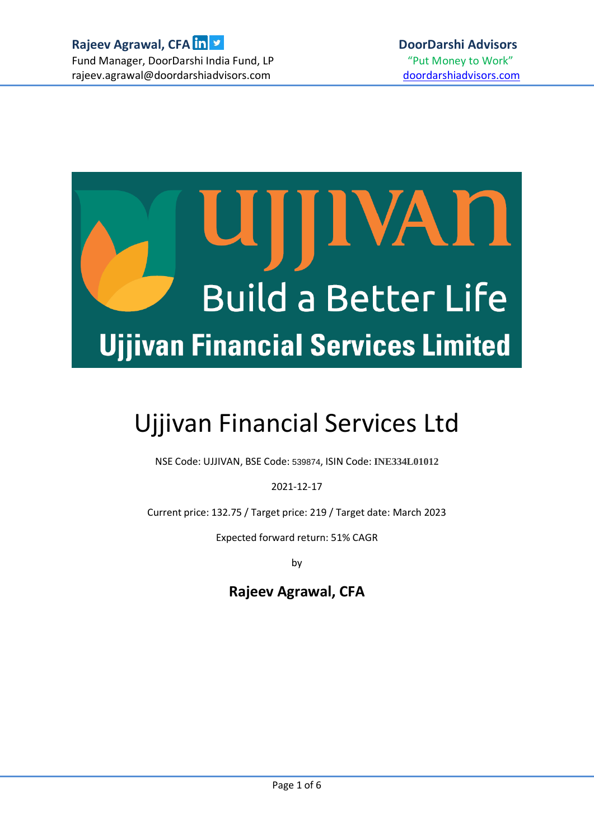

# Ujjivan Financial Services Ltd

NSE Code: UJJIVAN, BSE Code: 539874, ISIN Code: **INE334L01012**

2021-12-17

Current price: 132.75 / Target price: 219 / Target date: March 2023

Expected forward return: 51% CAGR

by

# **Rajeev Agrawal, CFA**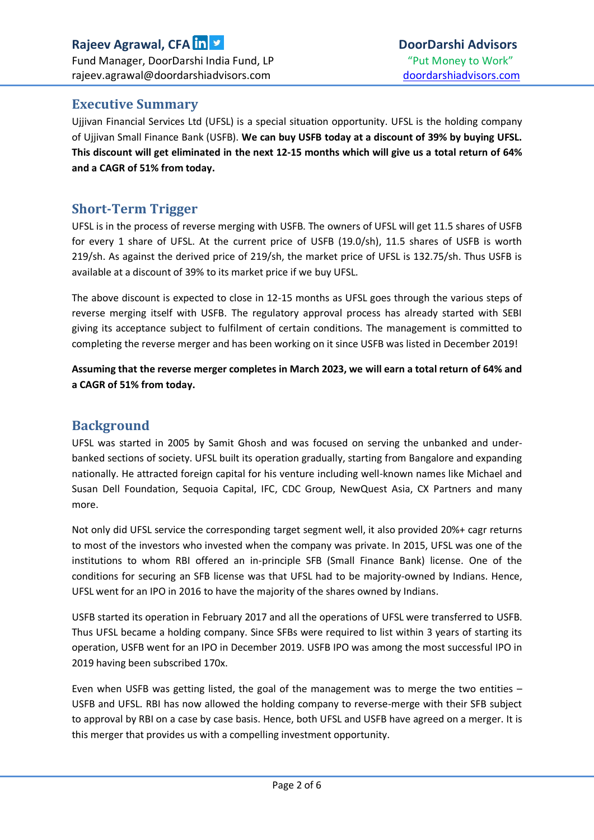# **Rajeev Agrawal, CFA DoorDarshi Advisors** Fund Manager, DoorDarshi India Fund, LP The Money of "Put Money to Work" rajeev.agrawal@doordarshiadvisors.com doordarshiadvisors.com

## **Executive Summary**

Ujjivan Financial Services Ltd (UFSL) is a special situation opportunity. UFSL is the holding company of Ujjivan Small Finance Bank (USFB). **We can buy USFB today at a discount of 39% by buying UFSL. This discount will get eliminated in the next 12-15 months which will give us a total return of 64% and a CAGR of 51% from today.** 

#### **Short-Term Trigger**

UFSL is in the process of reverse merging with USFB. The owners of UFSL will get 11.5 shares of USFB for every 1 share of UFSL. At the current price of USFB (19.0/sh), 11.5 shares of USFB is worth 219/sh. As against the derived price of 219/sh, the market price of UFSL is 132.75/sh. Thus USFB is available at a discount of 39% to its market price if we buy UFSL.

The above discount is expected to close in 12-15 months as UFSL goes through the various steps of reverse merging itself with USFB. The regulatory approval process has already started with SEBI giving its acceptance subject to fulfilment of certain conditions. The management is committed to completing the reverse merger and has been working on it since USFB was listed in December 2019!

**Assuming that the reverse merger completes in March 2023, we will earn a total return of 64% and a CAGR of 51% from today.**

#### **Background**

UFSL was started in 2005 by Samit Ghosh and was focused on serving the unbanked and underbanked sections of society. UFSL built its operation gradually, starting from Bangalore and expanding nationally. He attracted foreign capital for his venture including well-known names like Michael and Susan Dell Foundation, Sequoia Capital, IFC, CDC Group, NewQuest Asia, CX Partners and many more.

Not only did UFSL service the corresponding target segment well, it also provided 20%+ cagr returns to most of the investors who invested when the company was private. In 2015, UFSL was one of the institutions to whom RBI offered an in-principle SFB (Small Finance Bank) license. One of the conditions for securing an SFB license was that UFSL had to be majority-owned by Indians. Hence, UFSL went for an IPO in 2016 to have the majority of the shares owned by Indians.

USFB started its operation in February 2017 and all the operations of UFSL were transferred to USFB. Thus UFSL became a holding company. Since SFBs were required to list within 3 years of starting its operation, USFB went for an IPO in December 2019. USFB IPO was among the most successful IPO in 2019 having been subscribed 170x.

Even when USFB was getting listed, the goal of the management was to merge the two entities  $-$ USFB and UFSL. RBI has now allowed the holding company to reverse-merge with their SFB subject to approval by RBI on a case by case basis. Hence, both UFSL and USFB have agreed on a merger. It is this merger that provides us with a compelling investment opportunity.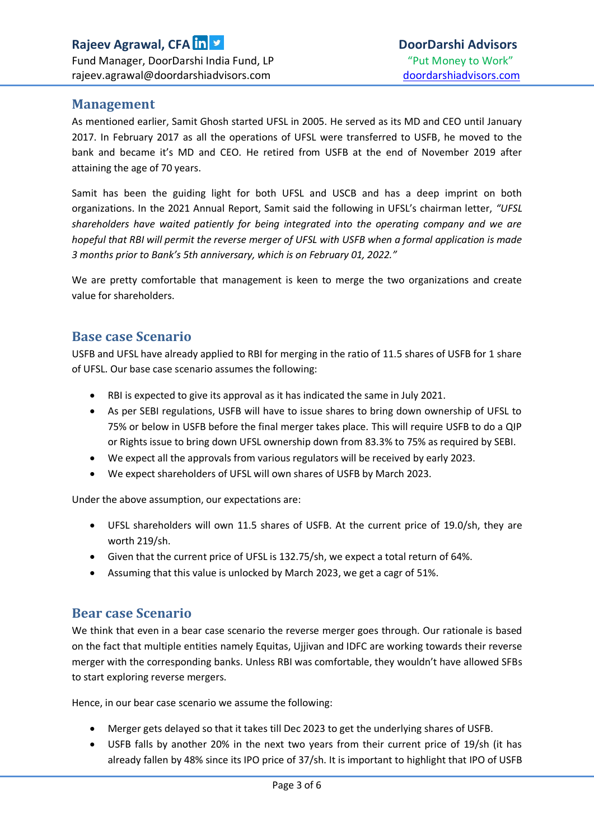#### **Management**

As mentioned earlier, Samit Ghosh started UFSL in 2005. He served as its MD and CEO until January 2017. In February 2017 as all the operations of UFSL were transferred to USFB, he moved to the bank and became it's MD and CEO. He retired from USFB at the end of November 2019 after attaining the age of 70 years.

Samit has been the guiding light for both UFSL and USCB and has a deep imprint on both organizations. In the 2021 Annual Report, Samit said the following in UFSL's chairman letter, *"UFSL shareholders have waited patiently for being integrated into the operating company and we are hopeful that RBI will permit the reverse merger of UFSL with USFB when a formal application is made 3 months prior to Bank's 5th anniversary, which is on February 01, 2022."*

We are pretty comfortable that management is keen to merge the two organizations and create value for shareholders.

#### **Base case Scenario**

USFB and UFSL have already applied to RBI for merging in the ratio of 11.5 shares of USFB for 1 share of UFSL. Our base case scenario assumes the following:

- RBI is expected to give its approval as it has indicated the same in July 2021.
- As per SEBI regulations, USFB will have to issue shares to bring down ownership of UFSL to 75% or below in USFB before the final merger takes place. This will require USFB to do a QIP or Rights issue to bring down UFSL ownership down from 83.3% to 75% as required by SEBI.
- We expect all the approvals from various regulators will be received by early 2023.
- We expect shareholders of UFSL will own shares of USFB by March 2023.

Under the above assumption, our expectations are:

- UFSL shareholders will own 11.5 shares of USFB. At the current price of 19.0/sh, they are worth 219/sh.
- Given that the current price of UFSL is 132.75/sh, we expect a total return of 64%.
- Assuming that this value is unlocked by March 2023, we get a cagr of 51%.

#### **Bear case Scenario**

We think that even in a bear case scenario the reverse merger goes through. Our rationale is based on the fact that multiple entities namely Equitas, Ujjivan and IDFC are working towards their reverse merger with the corresponding banks. Unless RBI was comfortable, they wouldn't have allowed SFBs to start exploring reverse mergers.

Hence, in our bear case scenario we assume the following:

- Merger gets delayed so that it takes till Dec 2023 to get the underlying shares of USFB.
- USFB falls by another 20% in the next two years from their current price of 19/sh (it has already fallen by 48% since its IPO price of 37/sh. It is important to highlight that IPO of USFB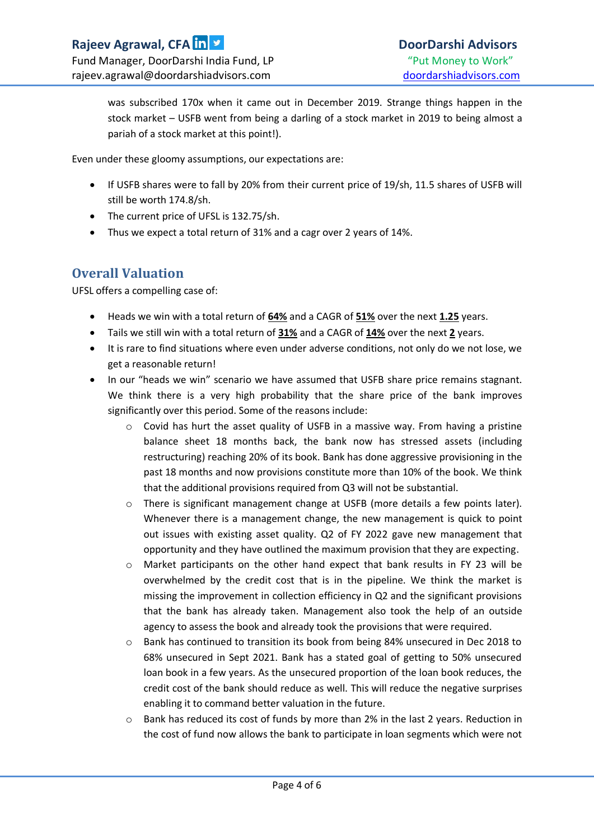was subscribed 170x when it came out in December 2019. Strange things happen in the stock market – USFB went from being a darling of a stock market in 2019 to being almost a pariah of a stock market at this point!).

Even under these gloomy assumptions, our expectations are:

- If USFB shares were to fall by 20% from their current price of 19/sh, 11.5 shares of USFB will still be worth 174.8/sh.
- The current price of UFSL is 132.75/sh.
- Thus we expect a total return of 31% and a cagr over 2 years of 14%.

# **Overall Valuation**

UFSL offers a compelling case of:

- Heads we win with a total return of **64%** and a CAGR of **51%** over the next **1.25** years.
- Tails we still win with a total return of **31%** and a CAGR of **14%** over the next **2** years.
- It is rare to find situations where even under adverse conditions, not only do we not lose, we get a reasonable return!
- In our "heads we win" scenario we have assumed that USFB share price remains stagnant. We think there is a very high probability that the share price of the bank improves significantly over this period. Some of the reasons include:
	- o Covid has hurt the asset quality of USFB in a massive way. From having a pristine balance sheet 18 months back, the bank now has stressed assets (including restructuring) reaching 20% of its book. Bank has done aggressive provisioning in the past 18 months and now provisions constitute more than 10% of the book. We think that the additional provisions required from Q3 will not be substantial.
	- o There is significant management change at USFB (more details a few points later). Whenever there is a management change, the new management is quick to point out issues with existing asset quality. Q2 of FY 2022 gave new management that opportunity and they have outlined the maximum provision that they are expecting.
	- $\circ$  Market participants on the other hand expect that bank results in FY 23 will be overwhelmed by the credit cost that is in the pipeline. We think the market is missing the improvement in collection efficiency in Q2 and the significant provisions that the bank has already taken. Management also took the help of an outside agency to assess the book and already took the provisions that were required.
	- o Bank has continued to transition its book from being 84% unsecured in Dec 2018 to 68% unsecured in Sept 2021. Bank has a stated goal of getting to 50% unsecured loan book in a few years. As the unsecured proportion of the loan book reduces, the credit cost of the bank should reduce as well. This will reduce the negative surprises enabling it to command better valuation in the future.
	- $\circ$  Bank has reduced its cost of funds by more than 2% in the last 2 years. Reduction in the cost of fund now allows the bank to participate in loan segments which were not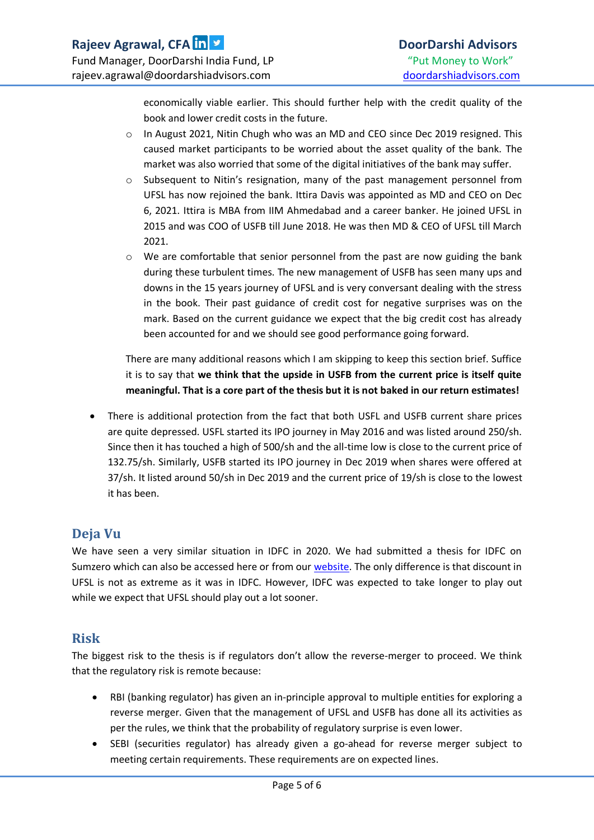economically viable earlier. This should further help with the credit quality of the book and lower credit costs in the future.

- o In August 2021, Nitin Chugh who was an MD and CEO since Dec 2019 resigned. This caused market participants to be worried about the asset quality of the bank. The market was also worried that some of the digital initiatives of the bank may suffer.
- o Subsequent to Nitin's resignation, many of the past management personnel from UFSL has now rejoined the bank. Ittira Davis was appointed as MD and CEO on Dec 6, 2021. Ittira is MBA from IIM Ahmedabad and a career banker. He joined UFSL in 2015 and was COO of USFB till June 2018. He was then MD & CEO of UFSL till March 2021.
- $\circ$  We are comfortable that senior personnel from the past are now guiding the bank during these turbulent times. The new management of USFB has seen many ups and downs in the 15 years journey of UFSL and is very conversant dealing with the stress in the book. Their past guidance of credit cost for negative surprises was on the mark. Based on the current guidance we expect that the big credit cost has already been accounted for and we should see good performance going forward.

There are many additional reasons which I am skipping to keep this section brief. Suffice it is to say that **we think that the upside in USFB from the current price is itself quite meaningful. That is a core part of the thesis but it is not baked in our return estimates!**

 There is additional protection from the fact that both USFL and USFB current share prices are quite depressed. USFL started its IPO journey in May 2016 and was listed around 250/sh. Since then it has touched a high of 500/sh and the all-time low is close to the current price of 132.75/sh. Similarly, USFB started its IPO journey in Dec 2019 when shares were offered at 37/sh. It listed around 50/sh in Dec 2019 and the current price of 19/sh is close to the lowest it has been.

# **Deja Vu**

We have seen a very similar situation in IDFC in 2020. We had submitted a thesis for IDFC on Sumzero which can also be accessed here or from ou[r website.](https://nebula.wsimg.com/94bee9b41a95c47eccbe30e442fe0df3?AccessKeyId=9E23A22EE23FF48FB30A&disposition=0&alloworigin=1) The only difference is that discount in UFSL is not as extreme as it was in IDFC. However, IDFC was expected to take longer to play out while we expect that UFSL should play out a lot sooner.

# **Risk**

The biggest risk to the thesis is if regulators don't allow the reverse-merger to proceed. We think that the regulatory risk is remote because:

- RBI (banking regulator) has given an in-principle approval to multiple entities for exploring a reverse merger. Given that the management of UFSL and USFB has done all its activities as per the rules, we think that the probability of regulatory surprise is even lower.
- SEBI (securities regulator) has already given a go-ahead for reverse merger subject to meeting certain requirements. These requirements are on expected lines.